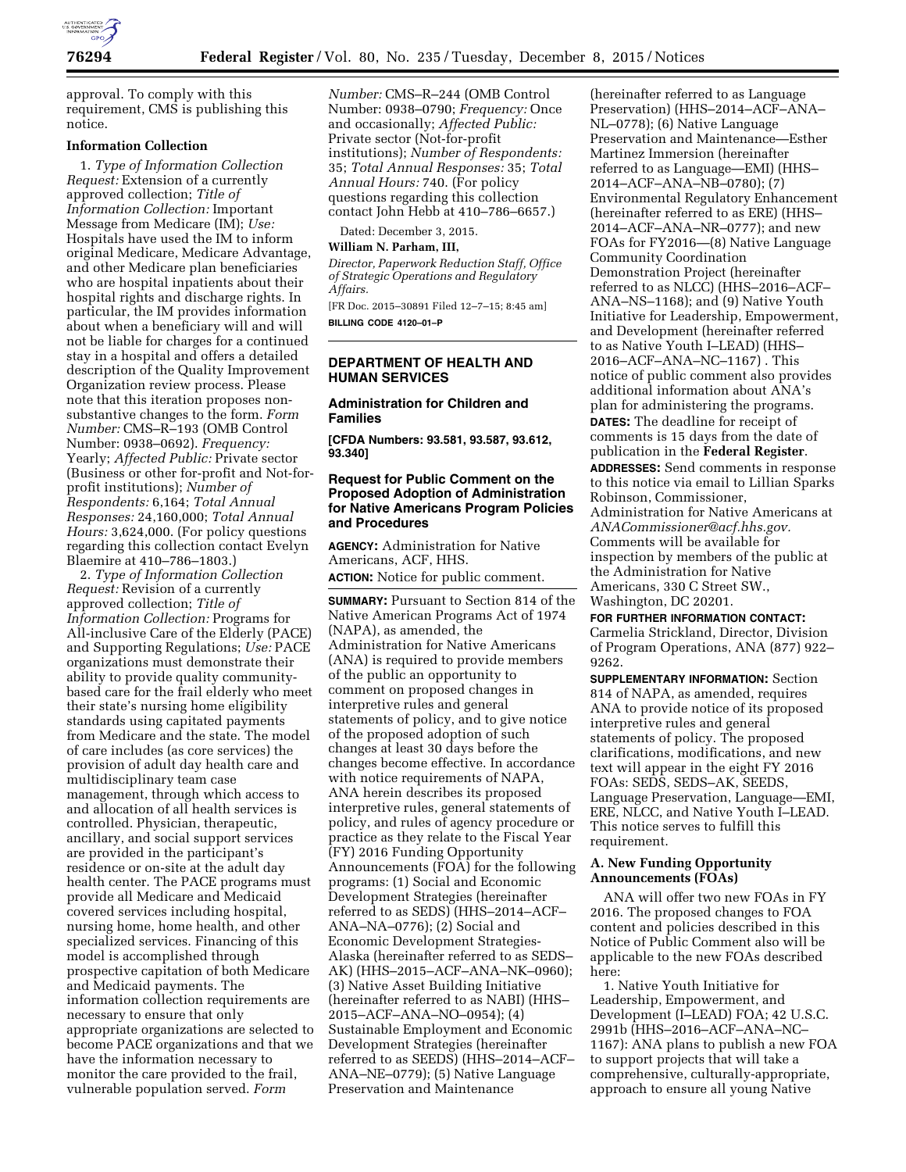

approval. To comply with this requirement, CMS is publishing this notice.

# **Information Collection**

1. *Type of Information Collection Request:* Extension of a currently approved collection; *Title of Information Collection:* Important Message from Medicare (IM); *Use:*  Hospitals have used the IM to inform original Medicare, Medicare Advantage, and other Medicare plan beneficiaries who are hospital inpatients about their hospital rights and discharge rights. In particular, the IM provides information about when a beneficiary will and will not be liable for charges for a continued stay in a hospital and offers a detailed description of the Quality Improvement Organization review process. Please note that this iteration proposes nonsubstantive changes to the form. *Form Number:* CMS–R–193 (OMB Control Number: 0938–0692). *Frequency:*  Yearly; *Affected Public:* Private sector (Business or other for-profit and Not-forprofit institutions); *Number of Respondents:* 6,164; *Total Annual Responses:* 24,160,000; *Total Annual Hours:* 3,624,000. (For policy questions regarding this collection contact Evelyn Blaemire at 410–786–1803.)

2. *Type of Information Collection Request:* Revision of a currently approved collection; *Title of Information Collection:* Programs for All-inclusive Care of the Elderly (PACE) and Supporting Regulations; *Use:* PACE organizations must demonstrate their ability to provide quality communitybased care for the frail elderly who meet their state's nursing home eligibility standards using capitated payments from Medicare and the state. The model of care includes (as core services) the provision of adult day health care and multidisciplinary team case management, through which access to and allocation of all health services is controlled. Physician, therapeutic, ancillary, and social support services are provided in the participant's residence or on-site at the adult day health center. The PACE programs must provide all Medicare and Medicaid covered services including hospital, nursing home, home health, and other specialized services. Financing of this model is accomplished through prospective capitation of both Medicare and Medicaid payments. The information collection requirements are necessary to ensure that only appropriate organizations are selected to become PACE organizations and that we have the information necessary to monitor the care provided to the frail, vulnerable population served. *Form* 

*Number:* CMS–R–244 (OMB Control Number: 0938–0790; *Frequency:* Once and occasionally; *Affected Public:*  Private sector (Not-for-profit institutions); *Number of Respondents:*  35; *Total Annual Responses:* 35; *Total Annual Hours:* 740. (For policy questions regarding this collection contact John Hebb at 410–786–6657.)

Dated: December 3, 2015.

#### **William N. Parham, III,**

*Director, Paperwork Reduction Staff, Office of Strategic Operations and Regulatory Affairs.* 

[FR Doc. 2015–30891 Filed 12–7–15; 8:45 am] **BILLING CODE 4120–01–P** 

#### **DEPARTMENT OF HEALTH AND HUMAN SERVICES**

### **Administration for Children and Families**

**[CFDA Numbers: 93.581, 93.587, 93.612, 93.340]** 

### **Request for Public Comment on the Proposed Adoption of Administration for Native Americans Program Policies and Procedures**

**AGENCY:** Administration for Native Americans, ACF, HHS. **ACTION:** Notice for public comment.

**SUMMARY:** Pursuant to Section 814 of the Native American Programs Act of 1974 (NAPA), as amended, the Administration for Native Americans (ANA) is required to provide members of the public an opportunity to comment on proposed changes in interpretive rules and general statements of policy, and to give notice of the proposed adoption of such changes at least 30 days before the changes become effective. In accordance with notice requirements of NAPA, ANA herein describes its proposed interpretive rules, general statements of policy, and rules of agency procedure or practice as they relate to the Fiscal Year (FY) 2016 Funding Opportunity Announcements (FOA) for the following programs: (1) Social and Economic Development Strategies (hereinafter referred to as SEDS) (HHS–2014–ACF– ANA–NA–0776); (2) Social and Economic Development Strategies-Alaska (hereinafter referred to as SEDS– AK) (HHS–2015–ACF–ANA–NK–0960); (3) Native Asset Building Initiative (hereinafter referred to as NABI) (HHS– 2015–ACF–ANA–NO–0954); (4) Sustainable Employment and Economic Development Strategies (hereinafter referred to as SEEDS) (HHS–2014–ACF– ANA–NE–0779); (5) Native Language Preservation and Maintenance

(hereinafter referred to as Language Preservation) (HHS–2014–ACF–ANA– NL–0778); (6) Native Language Preservation and Maintenance—Esther Martinez Immersion (hereinafter referred to as Language—EMI) (HHS– 2014–ACF–ANA–NB–0780); (7) Environmental Regulatory Enhancement (hereinafter referred to as ERE) (HHS– 2014–ACF–ANA–NR–0777); and new FOAs for FY2016—(8) Native Language Community Coordination Demonstration Project (hereinafter referred to as NLCC) (HHS–2016–ACF– ANA–NS–1168); and (9) Native Youth Initiative for Leadership, Empowerment, and Development (hereinafter referred to as Native Youth I–LEAD) (HHS– 2016–ACF–ANA–NC–1167) . This notice of public comment also provides additional information about ANA's plan for administering the programs. **DATES:** The deadline for receipt of comments is 15 days from the date of publication in the **Federal Register**. **ADDRESSES:** Send comments in response to this notice via email to Lillian Sparks Robinson, Commissioner, Administration for Native Americans at *[ANACommissioner@acf.hhs.gov.](mailto:ANACommissioner@acf.hhs.gov)*  Comments will be available for inspection by members of the public at the Administration for Native Americans, 330 C Street SW., Washington, DC 20201.

**FOR FURTHER INFORMATION CONTACT:**  Carmelia Strickland, Director, Division of Program Operations, ANA (877) 922– 9262.

**SUPPLEMENTARY INFORMATION:** Section 814 of NAPA, as amended, requires ANA to provide notice of its proposed interpretive rules and general statements of policy. The proposed clarifications, modifications, and new text will appear in the eight FY 2016 FOAs: SEDS, SEDS–AK, SEEDS, Language Preservation, Language—EMI, ERE, NLCC, and Native Youth I–LEAD. This notice serves to fulfill this requirement.

### **A. New Funding Opportunity Announcements (FOAs)**

ANA will offer two new FOAs in FY 2016. The proposed changes to FOA content and policies described in this Notice of Public Comment also will be applicable to the new FOAs described here:

1. Native Youth Initiative for Leadership, Empowerment, and Development (I–LEAD) FOA; 42 U.S.C. 2991b (HHS–2016–ACF–ANA–NC– 1167): ANA plans to publish a new FOA to support projects that will take a comprehensive, culturally-appropriate, approach to ensure all young Native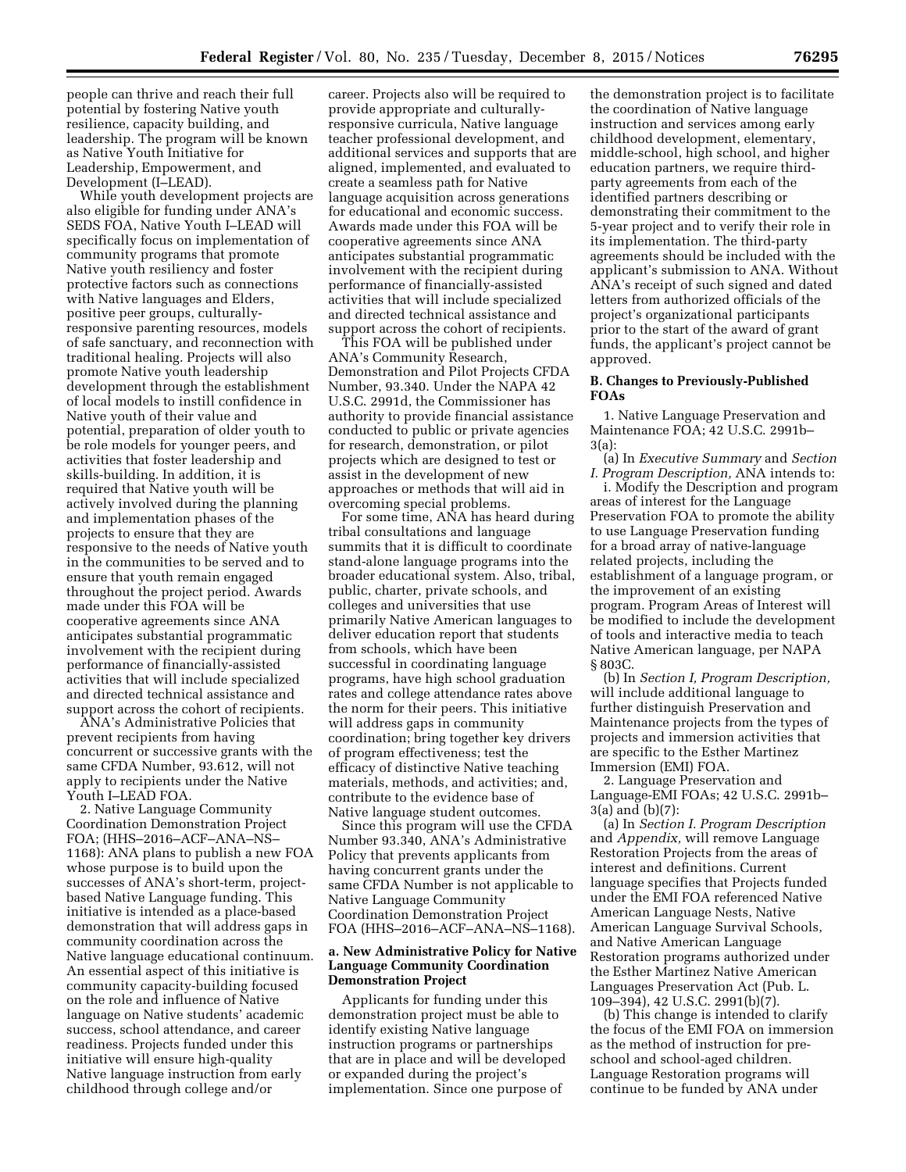people can thrive and reach their full potential by fostering Native youth resilience, capacity building, and leadership. The program will be known as Native Youth Initiative for Leadership, Empowerment, and Development (I–LEAD).

While youth development projects are also eligible for funding under ANA's SEDS FOA, Native Youth I–LEAD will specifically focus on implementation of community programs that promote Native youth resiliency and foster protective factors such as connections with Native languages and Elders, positive peer groups, culturallyresponsive parenting resources, models of safe sanctuary, and reconnection with traditional healing. Projects will also promote Native youth leadership development through the establishment of local models to instill confidence in Native youth of their value and potential, preparation of older youth to be role models for younger peers, and activities that foster leadership and skills-building. In addition, it is required that Native youth will be actively involved during the planning and implementation phases of the projects to ensure that they are responsive to the needs of Native youth in the communities to be served and to ensure that youth remain engaged throughout the project period. Awards made under this FOA will be cooperative agreements since ANA anticipates substantial programmatic involvement with the recipient during performance of financially-assisted activities that will include specialized and directed technical assistance and support across the cohort of recipients.

ANA's Administrative Policies that prevent recipients from having concurrent or successive grants with the same CFDA Number, 93.612, will not apply to recipients under the Native Youth I–LEAD FOA.

2. Native Language Community Coordination Demonstration Project FOA; (HHS–2016–ACF–ANA–NS– 1168): ANA plans to publish a new FOA whose purpose is to build upon the successes of ANA's short-term, projectbased Native Language funding. This initiative is intended as a place-based demonstration that will address gaps in community coordination across the Native language educational continuum. An essential aspect of this initiative is community capacity-building focused on the role and influence of Native language on Native students' academic success, school attendance, and career readiness. Projects funded under this initiative will ensure high-quality Native language instruction from early childhood through college and/or

career. Projects also will be required to provide appropriate and culturallyresponsive curricula, Native language teacher professional development, and additional services and supports that are aligned, implemented, and evaluated to create a seamless path for Native language acquisition across generations for educational and economic success. Awards made under this FOA will be cooperative agreements since ANA anticipates substantial programmatic involvement with the recipient during performance of financially-assisted activities that will include specialized and directed technical assistance and support across the cohort of recipients.

This FOA will be published under ANA's Community Research, Demonstration and Pilot Projects CFDA Number, 93.340. Under the NAPA 42 U.S.C. 2991d, the Commissioner has authority to provide financial assistance conducted to public or private agencies for research, demonstration, or pilot projects which are designed to test or assist in the development of new approaches or methods that will aid in overcoming special problems.

For some time, ANA has heard during tribal consultations and language summits that it is difficult to coordinate stand-alone language programs into the broader educational system. Also, tribal, public, charter, private schools, and colleges and universities that use primarily Native American languages to deliver education report that students from schools, which have been successful in coordinating language programs, have high school graduation rates and college attendance rates above the norm for their peers. This initiative will address gaps in community coordination; bring together key drivers of program effectiveness; test the efficacy of distinctive Native teaching materials, methods, and activities; and, contribute to the evidence base of Native language student outcomes.

Since this program will use the CFDA Number 93.340, ANA's Administrative Policy that prevents applicants from having concurrent grants under the same CFDA Number is not applicable to Native Language Community Coordination Demonstration Project FOA (HHS–2016–ACF–ANA–NS–1168).

### **a. New Administrative Policy for Native Language Community Coordination Demonstration Project**

Applicants for funding under this demonstration project must be able to identify existing Native language instruction programs or partnerships that are in place and will be developed or expanded during the project's implementation. Since one purpose of

the demonstration project is to facilitate the coordination of Native language instruction and services among early childhood development, elementary, middle-school, high school, and higher education partners, we require thirdparty agreements from each of the identified partners describing or demonstrating their commitment to the 5-year project and to verify their role in its implementation. The third-party agreements should be included with the applicant's submission to ANA. Without ANA's receipt of such signed and dated letters from authorized officials of the project's organizational participants prior to the start of the award of grant funds, the applicant's project cannot be approved.

# **B. Changes to Previously-Published FOAs**

1. Native Language Preservation and Maintenance FOA; 42 U.S.C. 2991b– 3(a):

(a) In *Executive Summary* and *Section I. Program Description,* ANA intends to:

i. Modify the Description and program areas of interest for the Language Preservation FOA to promote the ability to use Language Preservation funding for a broad array of native-language related projects, including the establishment of a language program, or the improvement of an existing program. Program Areas of Interest will be modified to include the development of tools and interactive media to teach Native American language, per NAPA § 803C.

(b) In *Section I, Program Description,*  will include additional language to further distinguish Preservation and Maintenance projects from the types of projects and immersion activities that are specific to the Esther Martinez Immersion (EMI) FOA.

2. Language Preservation and Language-EMI FOAs; 42 U.S.C. 2991b– 3(a) and (b)(7):

(a) In *Section I. Program Description*  and *Appendix,* will remove Language Restoration Projects from the areas of interest and definitions. Current language specifies that Projects funded under the EMI FOA referenced Native American Language Nests, Native American Language Survival Schools, and Native American Language Restoration programs authorized under the Esther Martinez Native American Languages Preservation Act (Pub. L. 109–394), 42 U.S.C. 2991(b)(7).

(b) This change is intended to clarify the focus of the EMI FOA on immersion as the method of instruction for preschool and school-aged children. Language Restoration programs will continue to be funded by ANA under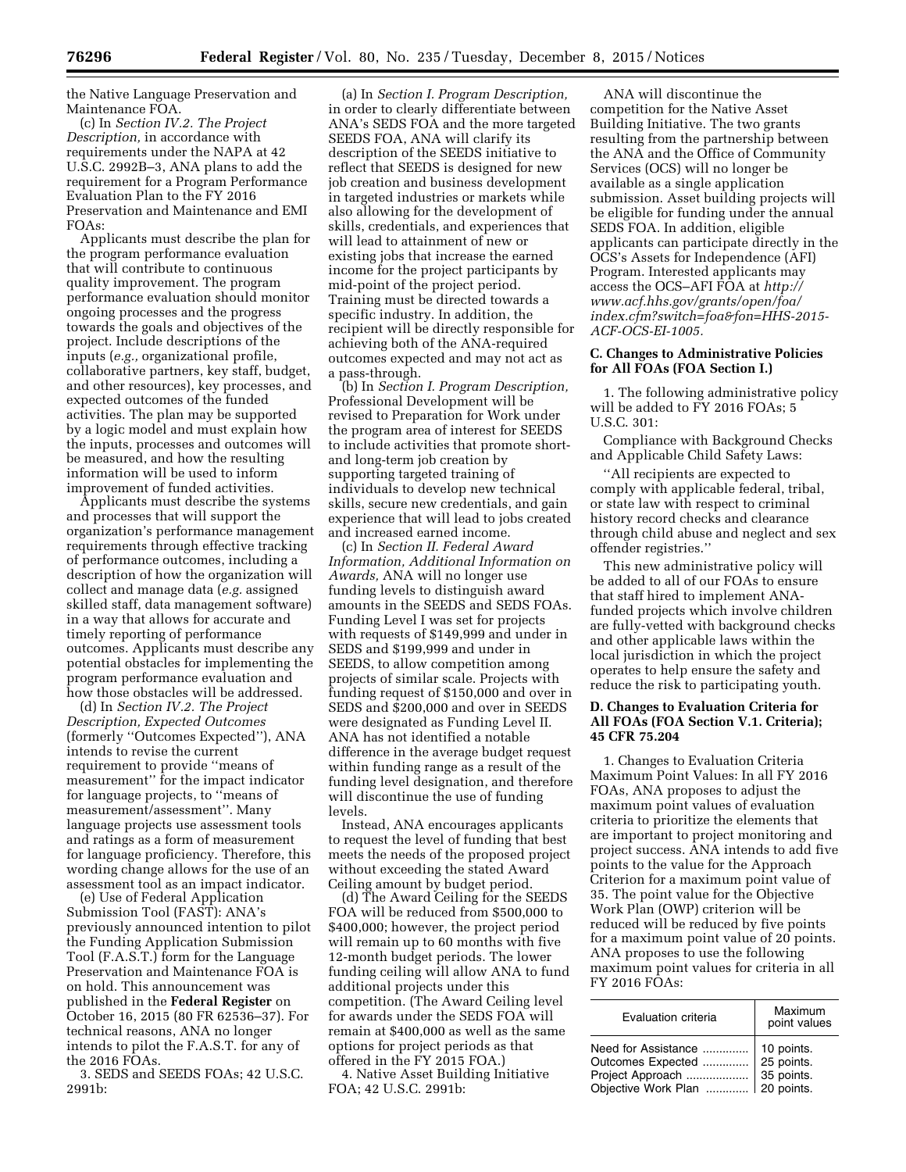the Native Language Preservation and Maintenance FOA.

(c) In *Section IV.2. The Project Description,* in accordance with requirements under the NAPA at 42 U.S.C. 2992B–3, ANA plans to add the requirement for a Program Performance Evaluation Plan to the FY 2016 Preservation and Maintenance and EMI FOAs:

Applicants must describe the plan for the program performance evaluation that will contribute to continuous quality improvement. The program performance evaluation should monitor ongoing processes and the progress towards the goals and objectives of the project. Include descriptions of the inputs (*e.g.,* organizational profile, collaborative partners, key staff, budget, and other resources), key processes, and expected outcomes of the funded activities. The plan may be supported by a logic model and must explain how the inputs, processes and outcomes will be measured, and how the resulting information will be used to inform improvement of funded activities.

Applicants must describe the systems and processes that will support the organization's performance management requirements through effective tracking of performance outcomes, including a description of how the organization will collect and manage data (*e.g.* assigned skilled staff, data management software) in a way that allows for accurate and timely reporting of performance outcomes. Applicants must describe any potential obstacles for implementing the program performance evaluation and how those obstacles will be addressed.

(d) In *Section IV.2. The Project Description, Expected Outcomes*  (formerly ''Outcomes Expected''), ANA intends to revise the current requirement to provide ''means of measurement'' for the impact indicator for language projects, to ''means of measurement/assessment''. Many language projects use assessment tools and ratings as a form of measurement for language proficiency. Therefore, this wording change allows for the use of an assessment tool as an impact indicator.

(e) Use of Federal Application Submission Tool (FAST): ANA's previously announced intention to pilot the Funding Application Submission Tool (F.A.S.T.) form for the Language Preservation and Maintenance FOA is on hold. This announcement was published in the **Federal Register** on October 16, 2015 (80 FR 62536–37). For technical reasons, ANA no longer intends to pilot the F.A.S.T. for any of the 2016 FOAs.

3. SEDS and SEEDS FOAs; 42 U.S.C. 2991b:

(a) In *Section I. Program Description,*  in order to clearly differentiate between ANA's SEDS FOA and the more targeted SEEDS FOA, ANA will clarify its description of the SEEDS initiative to reflect that SEEDS is designed for new job creation and business development in targeted industries or markets while also allowing for the development of skills, credentials, and experiences that will lead to attainment of new or existing jobs that increase the earned income for the project participants by mid-point of the project period. Training must be directed towards a specific industry. In addition, the recipient will be directly responsible for achieving both of the ANA-required outcomes expected and may not act as a pass-through.

(b) In *Section I. Program Description,*  Professional Development will be revised to Preparation for Work under the program area of interest for SEEDS to include activities that promote shortand long-term job creation by supporting targeted training of individuals to develop new technical skills, secure new credentials, and gain experience that will lead to jobs created and increased earned income.

(c) In *Section II. Federal Award Information, Additional Information on Awards,* ANA will no longer use funding levels to distinguish award amounts in the SEEDS and SEDS FOAs. Funding Level I was set for projects with requests of \$149,999 and under in SEDS and \$199,999 and under in SEEDS, to allow competition among projects of similar scale. Projects with funding request of \$150,000 and over in SEDS and \$200,000 and over in SEEDS were designated as Funding Level II. ANA has not identified a notable difference in the average budget request within funding range as a result of the funding level designation, and therefore will discontinue the use of funding levels.

Instead, ANA encourages applicants to request the level of funding that best meets the needs of the proposed project without exceeding the stated Award Ceiling amount by budget period.

(d) The Award Ceiling for the SEEDS FOA will be reduced from \$500,000 to \$400,000; however, the project period will remain up to 60 months with five 12-month budget periods. The lower funding ceiling will allow ANA to fund additional projects under this competition. (The Award Ceiling level for awards under the SEDS FOA will remain at \$400,000 as well as the same options for project periods as that offered in the FY 2015 FOA.)

4. Native Asset Building Initiative FOA; 42 U.S.C. 2991b:

ANA will discontinue the competition for the Native Asset Building Initiative. The two grants resulting from the partnership between the ANA and the Office of Community Services (OCS) will no longer be available as a single application submission. Asset building projects will be eligible for funding under the annual SEDS FOA. In addition, eligible applicants can participate directly in the OCS's Assets for Independence (AFI) Program. Interested applicants may access the OCS–AFI FOA at *[http://](http://www.acf.hhs.gov/grants/open/foa/index.cfm?switch=foa&fon=HHS-2015-ACF-OCS-EI-1005) [www.acf.hhs.gov/grants/open/foa/](http://www.acf.hhs.gov/grants/open/foa/index.cfm?switch=foa&fon=HHS-2015-ACF-OCS-EI-1005) [index.cfm?switch=foa&fon=HHS-2015-](http://www.acf.hhs.gov/grants/open/foa/index.cfm?switch=foa&fon=HHS-2015-ACF-OCS-EI-1005) [ACF-OCS-EI-1005.](http://www.acf.hhs.gov/grants/open/foa/index.cfm?switch=foa&fon=HHS-2015-ACF-OCS-EI-1005)* 

#### **C. Changes to Administrative Policies for All FOAs (FOA Section I.)**

1. The following administrative policy will be added to FY 2016 FOAs; 5 U.S.C. 301:

Compliance with Background Checks and Applicable Child Safety Laws:

''All recipients are expected to comply with applicable federal, tribal, or state law with respect to criminal history record checks and clearance through child abuse and neglect and sex offender registries.''

This new administrative policy will be added to all of our FOAs to ensure that staff hired to implement ANAfunded projects which involve children are fully-vetted with background checks and other applicable laws within the local jurisdiction in which the project operates to help ensure the safety and reduce the risk to participating youth.

## **D. Changes to Evaluation Criteria for All FOAs (FOA Section V.1. Criteria); 45 CFR 75.204**

1. Changes to Evaluation Criteria Maximum Point Values: In all FY 2016 FOAs, ANA proposes to adjust the maximum point values of evaluation criteria to prioritize the elements that are important to project monitoring and project success. ANA intends to add five points to the value for the Approach Criterion for a maximum point value of 35. The point value for the Objective Work Plan (OWP) criterion will be reduced will be reduced by five points for a maximum point value of 20 points. ANA proposes to use the following maximum point values for criteria in all FY 2016 FOAs:

| Evaluation criteria | Maximum<br>point values |
|---------------------|-------------------------|
|                     |                         |